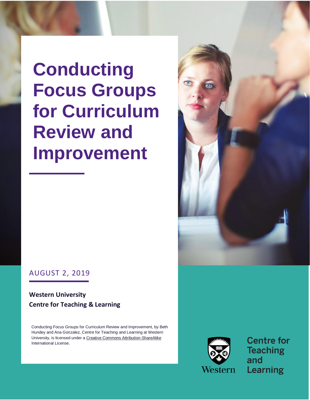**Conducting Focus Groups for Curriculum Review and Improvement**



## AUGUST 2, 2019

### **Western University Centre for Teaching & Learning**

Conducting Focus Groups for Curriculum Review and Improvement, by Beth Hundey and Ana Gonzalez, Centre for Teaching and Learning at Western University, is licensed under a [Creative Commons Attribution-ShareAlike](http://creativecommons.org/licenses/by-sa/4.0/)  [International License.](http://creativecommons.org/licenses/by-sa/4.0/)



**Centre for Teaching** and **Learning**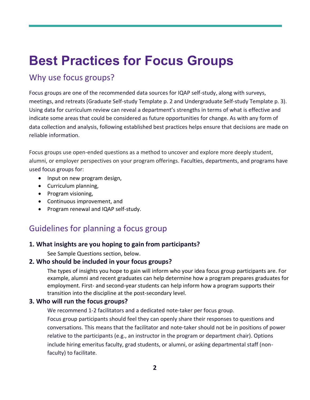# **Best Practices for Focus Groups**

## Why use focus groups?

Focus groups are one of the recommended data sources for IQAP self-study, along with surveys, meetings, and retreats (Graduate Self-study Template p. 2 and Undergraduate Self-study Template p. 3). Using data for curriculum review can reveal a department's strengths in terms of what is effective and indicate some areas that could be considered as future opportunities for change. As with any form of data collection and analysis, following established best practices helps ensure that decisions are made on reliable information.

Focus groups use open-ended questions as a method to uncover and explore more deeply student, alumni, or employer perspectives on your program offerings. Faculties, departments, and programs have used focus groups for:

- Input on new program design,
- Curriculum planning,
- Program visioning,
- Continuous improvement, and
- Program renewal and IQAP self-study.

# Guidelines for planning a focus group

#### **1. What insights are you hoping to gain from participants?**

See Sample Questions section, below.

#### **2. Who should be included in your focus groups?**

The types of insights you hope to gain will inform who your idea focus group participants are. For example, alumni and recent graduates can help determine how a program prepares graduates for employment. First- and second-year students can help inform how a program supports their transition into the discipline at the post-secondary level.

#### **3. Who will run the focus groups?**

We recommend 1-2 facilitators and a dedicated note-taker per focus group.

Focus group participants should feel they can openly share their responses to questions and conversations. This means that the facilitator and note-taker should not be in positions of power relative to the participants (e.g., an instructor in the program or department chair). Options include hiring emeritus faculty, grad students, or alumni, or asking departmental staff (nonfaculty) to facilitate.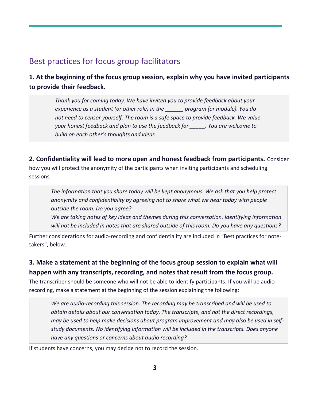## Best practices for focus group facilitators

## **1. At the beginning of the focus group session, explain why you have invited participants to provide their feedback.**

*Thank you for coming today. We have invited you to provide feedback about your experience as a student (or other role) in the \_\_\_\_\_\_ program (or module). You do not need to censor yourself. The room is a safe space to provide feedback. We value your honest feedback and plan to use the feedback for \_\_\_\_\_. You are welcome to build on each other's thoughts and ideas*

#### **2. Confidentiality will lead to more open and honest feedback from participants.** Consider

how you will protect the anonymity of the participants when inviting participants and scheduling sessions.

*The information that you share today will be kept anonymous. We ask that you help protect anonymity and confidentiality by agreeing not to share what we hear today with people outside the room. Do you agree?*

*We are taking notes of key ideas and themes during this conversation. Identifying information will not be included in notes that are shared outside of this room. Do you have any questions?*

Further considerations for audio-recording and confidentiality are included in "Best practices for notetakers", below.

### **3. Make a statement at the beginning of the focus group session to explain what will happen with any transcripts, recording, and notes that result from the focus group.**

The transcriber should be someone who will not be able to identify participants. If you will be audiorecording, make a statement at the beginning of the session explaining the following:

*We are audio-recording this session. The recording may be transcribed and will be used to obtain details about our conversation today. The transcripts, and not the direct recordings, may be used to help make decisions about program improvement and may also be used in selfstudy documents. No identifying information will be included in the transcripts. Does anyone have any questions or concerns about audio recording?*

If students have concerns, you may decide not to record the session.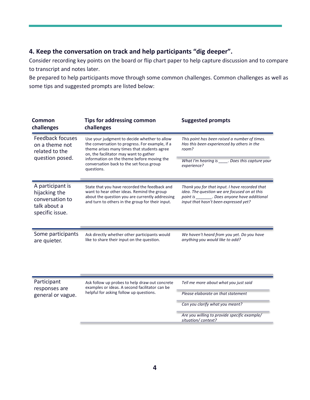#### **4. Keep the conversation on track and help participants "dig deeper".**

Consider recording key points on the board or flip chart paper to help capture discussion and to compare to transcript and notes later.

Be prepared to help participants move through some common challenges. Common challenges as well as some tips and suggested prompts are listed below:

| <b>Common</b><br>challenges                                                             | <b>Tips for addressing common</b><br>challenges                                                                                                                                                                                                                                                  | <b>Suggested prompts</b>                                                                                                                                                                  |
|-----------------------------------------------------------------------------------------|--------------------------------------------------------------------------------------------------------------------------------------------------------------------------------------------------------------------------------------------------------------------------------------------------|-------------------------------------------------------------------------------------------------------------------------------------------------------------------------------------------|
| Feedback focuses<br>on a theme not<br>related to the<br>question posed.                 | Use your judgment to decide whether to allow<br>the conversation to progress. For example, if a<br>theme arises many times that students agree<br>on, the facilitator may want to gather<br>information on the theme before moving the<br>conversation back to the set focus group<br>questions. | This point has been raised a number of times.<br>Has this been experienced by others in the<br>room?                                                                                      |
|                                                                                         |                                                                                                                                                                                                                                                                                                  | What I'm hearing is $\_$<br>.Does this capture your<br>experience?                                                                                                                        |
| A participant is<br>hijacking the<br>conversation to<br>talk about a<br>specific issue. | State that you have recorded the feedback and<br>want to hear other ideas. Remind the group<br>about the question you are currently addressing<br>and turn to others in the group for their input.                                                                                               | Thank you for that input. I have recorded that<br>idea. The question we are focused on at this<br>point is ________. Does anyone have additional<br>input that hasn't been expressed yet? |
| Some participants<br>are quieter.                                                       | Ask directly whether other participants would<br>like to share their input on the question.                                                                                                                                                                                                      | We haven't heard from you yet. Do you have<br>anything you would like to add?                                                                                                             |
| Participant<br>responses are<br>general or vague.                                       | Ask follow up probes to help draw out concrete<br>examples or ideas. A second facilitator can be<br>helpful for asking follow up questions.                                                                                                                                                      | Tell me more about what you just said                                                                                                                                                     |
|                                                                                         |                                                                                                                                                                                                                                                                                                  | Please elaborate on that statement                                                                                                                                                        |
|                                                                                         |                                                                                                                                                                                                                                                                                                  | Can you clarify what you meant?                                                                                                                                                           |
|                                                                                         |                                                                                                                                                                                                                                                                                                  | Are you willing to provide specific example/<br>situation/context?                                                                                                                        |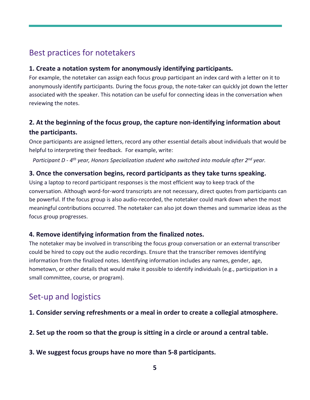## Best practices for notetakers

#### **1. Create a notation system for anonymously identifying participants.**

For example, the notetaker can assign each focus group participant an index card with a letter on it to anonymously identify participants. During the focus group, the note-taker can quickly jot down the letter associated with the speaker. This notation can be useful for connecting ideas in the conversation when reviewing the notes.

### **2. At the beginning of the focus group, the capture non-identifying information about the participants.**

Once participants are assigned letters, record any other essential details about individuals that would be helpful to interpreting their feedback. For example, write:

*Participant D - 4 th year, Honors Specialization student who switched into module after 2nd year.*

#### **3. Once the conversation begins, record participants as they take turns speaking.**

Using a laptop to record participant responses is the most efficient way to keep track of the conversation. Although word-for-word transcripts are not necessary, direct quotes from participants can be powerful. If the focus group is also audio-recorded, the notetaker could mark down when the most meaningful contributions occurred. The notetaker can also jot down themes and summarize ideas as the focus group progresses.

#### **4. Remove identifying information from the finalized notes.**

The notetaker may be involved in transcribing the focus group conversation or an external transcriber could be hired to copy out the audio recordings. Ensure that the transcriber removes identifying information from the finalized notes. Identifying information includes any names, gender, age, hometown, or other details that would make it possible to identify individuals (e.g., participation in a small committee, course, or program).

## Set-up and logistics

**1. Consider serving refreshments or a meal in order to create a collegial atmosphere.**

**2. Set up the room so that the group is sitting in a circle or around a central table.**

**3. We suggest focus groups have no more than 5-8 participants.**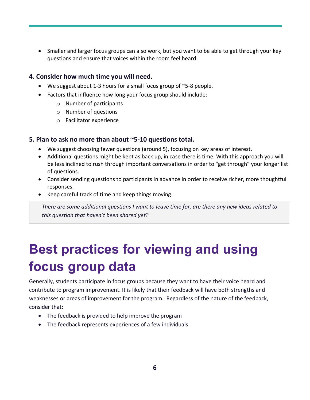• Smaller and larger focus groups can also work, but you want to be able to get through your key questions and ensure that voices within the room feel heard.

#### **4. Consider how much time you will need.**

- We suggest about 1-3 hours for a small focus group of ~5-8 people.
- Factors that influence how long your focus group should include:
	- o Number of participants
	- o Number of questions
	- o Facilitator experience

#### **5. Plan to ask no more than about ~5-10 questions total.**

- We suggest choosing fewer questions (around 5), focusing on key areas of interest.
- Additional questions might be kept as back up, in case there is time. With this approach you will be less inclined to rush through important conversations in order to "get through" your longer list of questions.
- Consider sending questions to participants in advance in order to receive richer, more thoughtful responses.
- Keep careful track of time and keep things moving.

*There are some additional questions I want to leave time for, are there any new ideas related to this question that haven't been shared yet?*

# **Best practices for viewing and using focus group data**

Generally, students participate in focus groups because they want to have their voice heard and contribute to program improvement. It is likely that their feedback will have both strengths and weaknesses or areas of improvement for the program. Regardless of the nature of the feedback, consider that:

- The feedback is provided to help improve the program
- The feedback represents experiences of a few individuals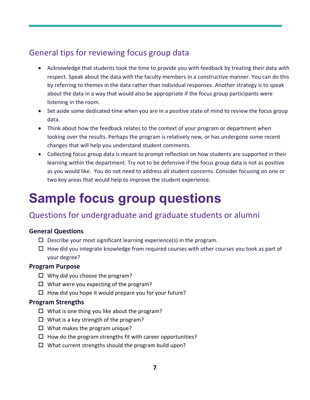# General tips for reviewing focus group data

- Acknowledge that students took the time to provide you with feedback by treating their data with respect. Speak about the data with the faculty members in a constructive manner. You can do this by referring to themes in the data rather than individual responses. Another strategy is to speak about the data in a way that would also be appropriate if the focus group participants were listening in the room.
- Set aside some dedicated time when you are in a positive state of mind to review the focus group data.
- Think about how the feedback relates to the context of your program or department when looking over the results. Perhaps the program is relatively new, or has undergone some recent changes that will help you understand student comments.
- Collecting focus group data is meant to prompt reflection on how students are supported in their learning within the department. Try not to be defensive if the focus group data is not as positive as you would like. You do not need to address all student concerns. Consider focusing on one or two key areas that would help to improve the student experience.

# **Sample focus group questions**

## Questions for undergraduate and graduate students or alumni

#### **General Questions**

- $\square$  Describe your most significant learning experience(s) in the program.
- $\Box$  How did you integrate knowledge from required courses with other courses you took as part of your degree?

#### **Program Purpose**

- $\Box$  Why did you choose the program?
- $\Box$  What were you expecting of the program?
- $\Box$  How did you hope it would prepare you for your future?

#### **Program Strengths**

- $\Box$  What is one thing you like about the program?
- $\Box$  What is a key strength of the program?
- $\Box$  What makes the program unique?
- $\Box$  How do the program strengths fit with career opportunities?
- $\Box$  What current strengths should the program build upon?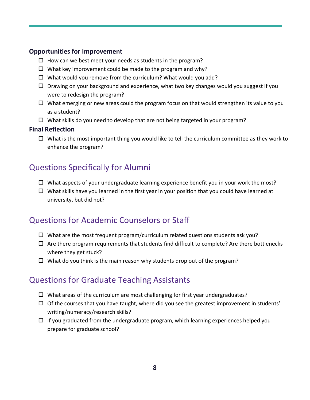#### **Opportunities for Improvement**

- $\Box$  How can we best meet your needs as students in the program?
- $\Box$  What key improvement could be made to the program and why?
- $\Box$  What would you remove from the curriculum? What would you add?
- $\Box$  Drawing on your background and experience, what two key changes would you suggest if you were to redesign the program?
- $\Box$  What emerging or new areas could the program focus on that would strengthen its value to you as a student?
- $\Box$  What skills do you need to develop that are not being targeted in your program?

#### **Final Reflection**

 $\Box$  What is the most important thing you would like to tell the curriculum committee as they work to enhance the program?

## Questions Specifically for Alumni

- $\Box$  What aspects of your undergraduate learning experience benefit you in your work the most?
- $\Box$  What skills have you learned in the first year in your position that you could have learned at university, but did not?

## Questions for Academic Counselors or Staff

- $\Box$  What are the most frequent program/curriculum related questions students ask you?
- $\Box$  Are there program requirements that students find difficult to complete? Are there bottlenecks where they get stuck?
- $\Box$  What do you think is the main reason why students drop out of the program?

## Questions for Graduate Teaching Assistants

- $\Box$  What areas of the curriculum are most challenging for first year undergraduates?
- $\Box$  Of the courses that you have taught, where did you see the greatest improvement in students' writing/numeracy/research skills?
- $\Box$  If you graduated from the undergraduate program, which learning experiences helped you prepare for graduate school?